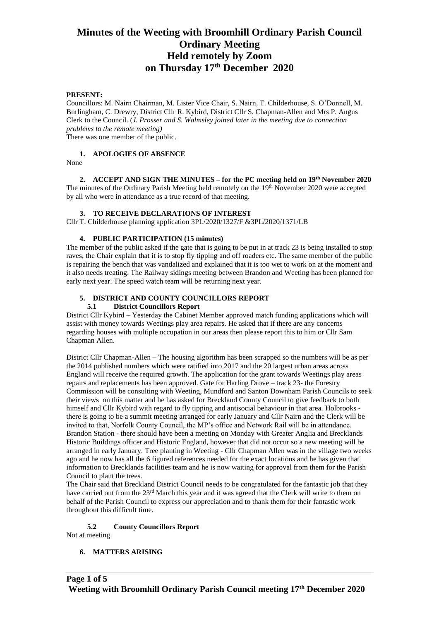# **Minutes of the Weeting with Broomhill Ordinary Parish Council Ordinary Meeting Held remotely by Zoom on Thursday 17th December 2020**

## **PRESENT:**

Councillors: M. Nairn Chairman, M. Lister Vice Chair, S. Nairn, T. Childerhouse, S. O'Donnell, M. Burlingham, C. Drewry, District Cllr R. Kybird, District Cllr S. Chapman-Allen and Mrs P. Angus Clerk to the Council. (*J. Prosser and S. Walmsley joined later in the meeting due to connection problems to the remote meeting)* There was one member of the public.

## **1. APOLOGIES OF ABSENCE**

None

**2. ACCEPT AND SIGN THE MINUTES – for the PC meeting held on 19th November 2020** The minutes of the Ordinary Parish Meeting held remotely on the 19<sup>th</sup> November 2020 were accepted by all who were in attendance as a true record of that meeting.

## **3. TO RECEIVE DECLARATIONS OF INTEREST**

Cllr T. Childerhouse planning application 3PL/2020/1327/F &3PL/2020/1371/LB

#### **4. PUBLIC PARTICIPATION (15 minutes)**

The member of the public asked if the gate that is going to be put in at track 23 is being installed to stop raves, the Chair explain that it is to stop fly tipping and off roaders etc. The same member of the public is repairing the bench that was vandalized and explained that it is too wet to work on at the moment and it also needs treating. The Railway sidings meeting between Brandon and Weeting has been planned for early next year. The speed watch team will be returning next year.

## **5. DISTRICT AND COUNTY COUNCILLORS REPORT**

#### **5.1 District Councillors Report**

District Cllr Kybird – Yesterday the Cabinet Member approved match funding applications which will assist with money towards Weetings play area repairs. He asked that if there are any concerns regarding houses with multiple occupation in our areas then please report this to him or Cllr Sam Chapman Allen.

District Cllr Chapman-Allen – The housing algorithm has been scrapped so the numbers will be as per the 2014 published numbers which were ratified into 2017 and the 20 largest urban areas across England will receive the required growth. The application for the grant towards Weetings play areas repairs and replacements has been approved. Gate for Harling Drove – track 23- the Forestry Commission will be consulting with Weeting, Mundford and Santon Downham Parish Councils to seek their views on this matter and he has asked for Breckland County Council to give feedback to both himself and Cllr Kybird with regard to fly tipping and antisocial behaviour in that area. Holbrooks there is going to be a summit meeting arranged for early January and Cllr Nairn and the Clerk will be invited to that, Norfolk County Council, the MP's office and Network Rail will be in attendance. Brandon Station - there should have been a meeting on Monday with Greater Anglia and Brecklands Historic Buildings officer and Historic England, however that did not occur so a new meeting will be arranged in early January. Tree planting in Weeting - Cllr Chapman Allen was in the village two weeks ago and he now has all the 6 figured references needed for the exact locations and he has given that information to Brecklands facilities team and he is now waiting for approval from them for the Parish Council to plant the trees.

The Chair said that Breckland District Council needs to be congratulated for the fantastic job that they have carried out from the 23<sup>rd</sup> March this year and it was agreed that the Clerk will write to them on behalf of the Parish Council to express our appreciation and to thank them for their fantastic work throughout this difficult time.

## **5.2 County Councillors Report**

Not at meeting

## **6. MATTERS ARISING**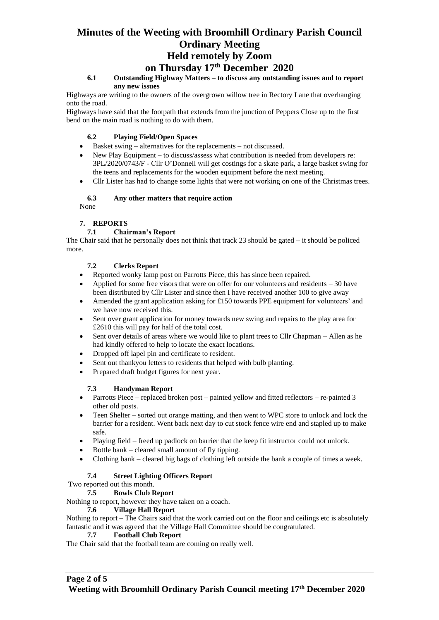# **Minutes of the Weeting with Broomhill Ordinary Parish Council Ordinary Meeting Held remotely by Zoom**

# **on Thursday 17th December 2020**

# **6.1 Outstanding Highway Matters – to discuss any outstanding issues and to report any new issues**

Highways are writing to the owners of the overgrown willow tree in Rectory Lane that overhanging onto the road.

Highways have said that the footpath that extends from the junction of Peppers Close up to the first bend on the main road is nothing to do with them.

# **6.2 Playing Field/Open Spaces**

- Basket swing alternatives for the replacements not discussed.
- New Play Equipment to discuss/assess what contribution is needed from developers re: 3PL/2020/0743/F - Cllr O'Donnell will get costings for a skate park, a large basket swing for the teens and replacements for the wooden equipment before the next meeting.
- Cllr Lister has had to change some lights that were not working on one of the Christmas trees.

# **6.3 Any other matters that require action**

None

# **7. REPORTS**

# **7.1 Chairman's Report**

The Chair said that he personally does not think that track 23 should be gated – it should be policed more.

# **7.2 Clerks Report**

- Reported wonky lamp post on Parrotts Piece, this has since been repaired.
- Applied for some free visors that were on offer for our volunteers and residents 30 have been distributed by Cllr Lister and since then I have received another 100 to give away
- Amended the grant application asking for £150 towards PPE equipment for volunteers' and we have now received this.
- Sent over grant application for money towards new swing and repairs to the play area for £2610 this will pay for half of the total cost.
- Sent over details of areas where we would like to plant trees to Cllr Chapman Allen as he had kindly offered to help to locate the exact locations.
- Dropped off lapel pin and certificate to resident.
- Sent out thankyou letters to residents that helped with bulb planting.
- Prepared draft budget figures for next year.

# **7.3 Handyman Report**

- Parrotts Piece replaced broken post painted yellow and fitted reflectors re-painted 3 other old posts.
- Teen Shelter sorted out orange matting, and then went to WPC store to unlock and lock the barrier for a resident. Went back next day to cut stock fence wire end and stapled up to make safe.
- Playing field freed up padlock on barrier that the keep fit instructor could not unlock.
- Bottle bank cleared small amount of fly tipping.
- Clothing bank cleared big bags of clothing left outside the bank a couple of times a week.

# **7.4 Street Lighting Officers Report**

Two reported out this month.

# **7.5 Bowls Club Report**

Nothing to report, however they have taken on a coach.

# **7.6 Village Hall Report**

Nothing to report – The Chairs said that the work carried out on the floor and ceilings etc is absolutely fantastic and it was agreed that the Village Hall Committee should be congratulated.

# **7.7 Football Club Report**

The Chair said that the football team are coming on really well.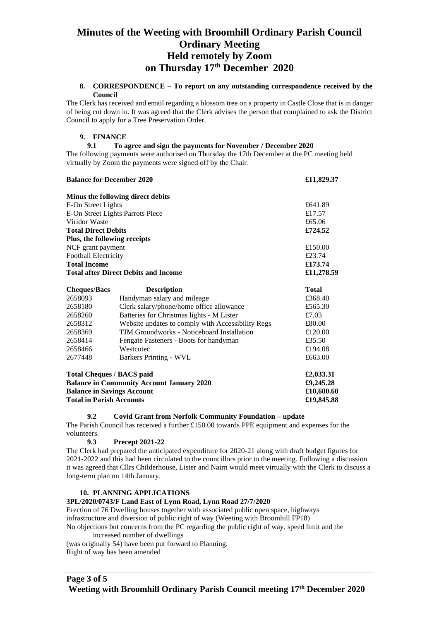# **Minutes of the Weeting with Broomhill Ordinary Parish Council Ordinary Meeting Held remotely by Zoom on Thursday 17th December 2020**

#### **8. CORRESPONDENCE – To report on any outstanding correspondence received by the Council**

The Clerk has received and email regarding a blossom tree on a property in Castle Close that is in danger of being cut down in. It was agreed that the Clerk advises the person that complained to ask the District Council to apply for a Tree Preservation Order.

# **9. FINANCE**

## **9.1 To agree and sign the payments for November / December 2020**

The following payments were authorised on Thursday the 17th December at the PC meeting held virtually by Zoom the payments were signed off by the Chair.

| <b>Balance for December 2020</b> |                                                   | £11,829.37 |
|----------------------------------|---------------------------------------------------|------------|
|                                  | Minus the following direct debits                 |            |
| E-On Street Lights               |                                                   | £641.89    |
| E-On Street Lights Parrots Piece |                                                   | £17.57     |
| Viridor Waste                    |                                                   | £65.06     |
| <b>Total Direct Debits</b>       |                                                   | £724.52    |
| Plus, the following receipts     |                                                   |            |
| NCF grant payment                |                                                   | £150.00    |
| <b>Football Electricity</b>      |                                                   | £23.74     |
| <b>Total Income</b>              |                                                   | £173.74    |
|                                  | <b>Total after Direct Debits and Income</b>       | £11,278.59 |
| <b>Cheques/Bacs</b>              | <b>Description</b>                                | Total      |
| 2658093                          | Handyman salary and mileage                       | £368.40    |
| 2658180                          | Clerk salary/phone/home office allowance          | £565.30    |
| 2658260                          | Batteries for Christmas lights - M Lister         | £7.03      |
| 2658312                          | Website updates to comply with Accessibility Regs | £80.00     |
| 2658369                          | TJM Groundworks - Noticeboard Installation        | £120.00    |

| 2677448                                                              | Barkers Printing - WVL                           | £663.00                  |
|----------------------------------------------------------------------|--------------------------------------------------|--------------------------|
|                                                                      | Total Cheques / BACS paid                        | £2,033.31                |
|                                                                      | <b>Balance in Community Account January 2020</b> | £9,245.28                |
| <b>Balance in Savings Account</b><br><b>Total in Parish Accounts</b> |                                                  | £10,600.60<br>£19,845.88 |

2658414 Fengate Fasteners - Boots for handyman £35.50 2658466 Westcotec **E194.08** 

## **9.2 Covid Grant from Norfolk Community Foundation – update**

The Parish Council has received a further £150.00 towards PPE equipment and expenses for the volunteers.

# **9.3 Precept 2021-22**

The Clerk had prepared the anticipated expenditure for 2020-21 along with draft budget figures for 2021-2022 and this had been circulated to the councillors prior to the meeting. Following a discussion it was agreed that Cllrs Childerhouse, Lister and Nairn would meet virtually with the Clerk to discuss a long-term plan on 14th January.

## **10. PLANNING APPLICATIONS**

## **3PL/2020/0743/F Land East of Lynn Road, Lynn Road 27/7/2020**

Erection of 76 Dwelling houses together with associated public open space, highways infrastructure and diversion of public right of way (Weeting with Broomhill FP18) No objections but concerns from the PC regarding the public right of way, speed limit and the increased number of dwellings (was originally 54) have been put forward to Planning.

Right of way has been amended